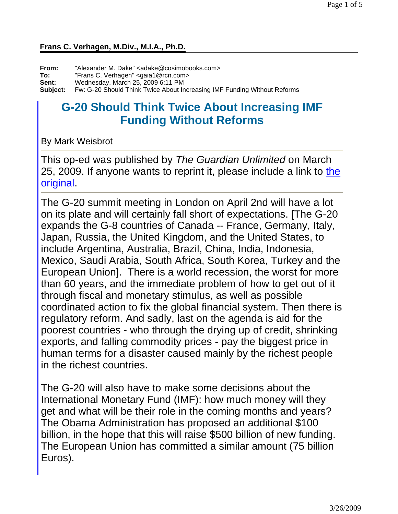## **Frans C. Verhagen, M.Div., M.I.A., Ph.D.**

**From:** "Alexander M. Dake" <adake@cosimobooks.com> **To:** "Frans C. Verhagen" <gaia1@rcn.com> **Sent:** Wednesday, March 25, 2009 6:11 PM **Subject:** Fw: G-20 Should Think Twice About Increasing IMF Funding Without Reforms

## **G-20 Should Think Twice About Increasing IMF Funding Without Reforms**

By Mark Weisbrot

This op-ed was published by *The Guardian Unlimited* on March 25, 2009. If anyone wants to reprint it, please include a link to the original.

The G-20 summit meeting in London on April 2nd will have a lot on its plate and will certainly fall short of expectations. [The G-20 expands the G-8 countries of Canada -- France, Germany, Italy, Japan, Russia, the United Kingdom, and the United States, to include Argentina, Australia, Brazil, China, India, Indonesia, Mexico, Saudi Arabia, South Africa, South Korea, Turkey and the European Union]. There is a world recession, the worst for more than 60 years, and the immediate problem of how to get out of it through fiscal and monetary stimulus, as well as possible coordinated action to fix the global financial system. Then there is regulatory reform. And sadly, last on the agenda is aid for the poorest countries - who through the drying up of credit, shrinking exports, and falling commodity prices - pay the biggest price in human terms for a disaster caused mainly by the richest people in the richest countries.

The G-20 will also have to make some decisions about the International Monetary Fund (IMF): how much money will they get and what will be their role in the coming months and years? The Obama Administration has proposed an additional \$100 billion, in the hope that this will raise \$500 billion of new funding. The European Union has committed a similar amount (75 billion Euros).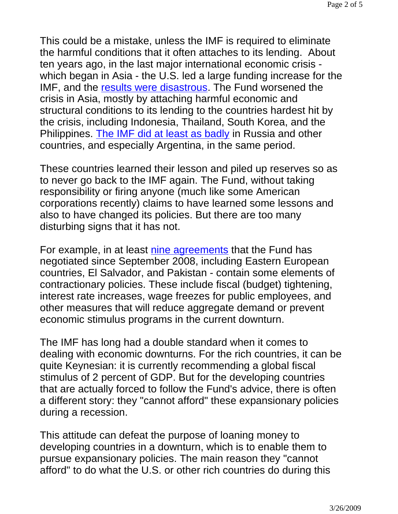This could be a mistake, unless the IMF is required to eliminate the harmful conditions that it often attaches to its lending. About ten years ago, in the last major international economic crisis which began in Asia - the U.S. led a large funding increase for the IMF, and the results were disastrous. The Fund worsened the crisis in Asia, mostly by attaching harmful economic and structural conditions to its lending to the countries hardest hit by the crisis, including Indonesia, Thailand, South Korea, and the Philippines. The IMF did at least as badly in Russia and other countries, and especially Argentina, in the same period.

These countries learned their lesson and piled up reserves so as to never go back to the IMF again. The Fund, without taking responsibility or firing anyone (much like some American corporations recently) claims to have learned some lessons and also to have changed its policies. But there are too many disturbing signs that it has not.

For example, in at least nine agreements that the Fund has negotiated since September 2008, including Eastern European countries, El Salvador, and Pakistan - contain some elements of contractionary policies. These include fiscal (budget) tightening, interest rate increases, wage freezes for public employees, and other measures that will reduce aggregate demand or prevent economic stimulus programs in the current downturn.

The IMF has long had a double standard when it comes to dealing with economic downturns. For the rich countries, it can be quite Keynesian: it is currently recommending a global fiscal stimulus of 2 percent of GDP. But for the developing countries that are actually forced to follow the Fund's advice, there is often a different story: they "cannot afford" these expansionary policies during a recession.

This attitude can defeat the purpose of loaning money to developing countries in a downturn, which is to enable them to pursue expansionary policies. The main reason they "cannot afford" to do what the U.S. or other rich countries do during this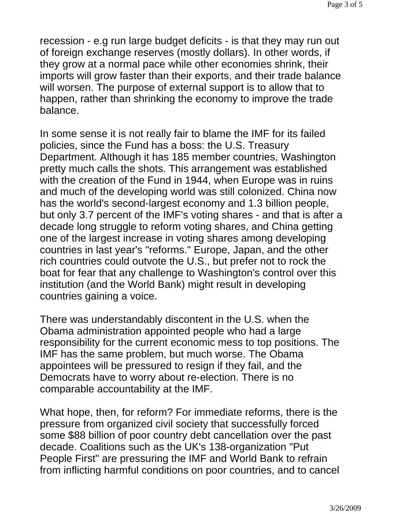recession - e.g run large budget deficits - is that they may run out of foreign exchange reserves (mostly dollars). In other words, if they grow at a normal pace while other economies shrink, their imports will grow faster than their exports, and their trade balance will worsen. The purpose of external support is to allow that to happen, rather than shrinking the economy to improve the trade balance.

In some sense it is not really fair to blame the IMF for its failed policies, since the Fund has a boss: the U.S. Treasury Department. Although it has 185 member countries, Washington pretty much calls the shots. This arrangement was established with the creation of the Fund in 1944, when Europe was in ruins and much of the developing world was still colonized. China now has the world's second-largest economy and 1.3 billion people, but only 3.7 percent of the IMF's voting shares - and that is after a decade long struggle to reform voting shares, and China getting one of the largest increase in voting shares among developing countries in last year's "reforms." Europe, Japan, and the other rich countries could outvote the U.S., but prefer not to rock the boat for fear that any challenge to Washington's control over this institution (and the World Bank) might result in developing countries gaining a voice.

There was understandably discontent in the U.S. when the Obama administration appointed people who had a large responsibility for the current economic mess to top positions. The IMF has the same problem, but much worse. The Obama appointees will be pressured to resign if they fail, and the Democrats have to worry about re-election. There is no comparable accountability at the IMF.

What hope, then, for reform? For immediate reforms, there is the pressure from organized civil society that successfully forced some \$88 billion of poor country debt cancellation over the past decade. Coalitions such as the UK's 138-organization "Put People First" are pressuring the IMF and World Bank to refrain from inflicting harmful conditions on poor countries, and to cancel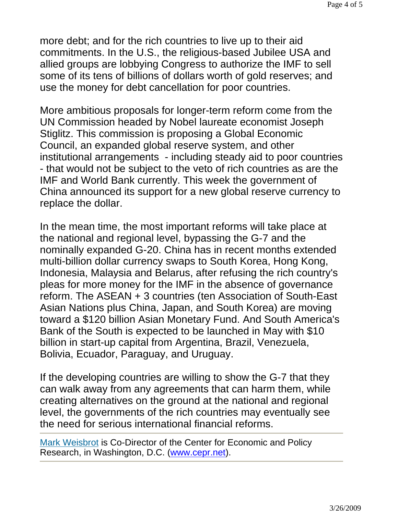more debt; and for the rich countries to live up to their aid commitments. In the U.S., the religious-based Jubilee USA and allied groups are lobbying Congress to authorize the IMF to sell some of its tens of billions of dollars worth of gold reserves; and use the money for debt cancellation for poor countries.

More ambitious proposals for longer-term reform come from the UN Commission headed by Nobel laureate economist Joseph Stiglitz. This commission is proposing a Global Economic Council, an expanded global reserve system, and other institutional arrangements - including steady aid to poor countries - that would not be subject to the veto of rich countries as are the IMF and World Bank currently. This week the government of China announced its support for a new global reserve currency to replace the dollar.

In the mean time, the most important reforms will take place at the national and regional level, bypassing the G-7 and the nominally expanded G-20. China has in recent months extended multi-billion dollar currency swaps to South Korea, Hong Kong, Indonesia, Malaysia and Belarus, after refusing the rich country's pleas for more money for the IMF in the absence of governance reform. The ASEAN + 3 countries (ten Association of South-East Asian Nations plus China, Japan, and South Korea) are moving toward a \$120 billion Asian Monetary Fund. And South America's Bank of the South is expected to be launched in May with \$10 billion in start-up capital from Argentina, Brazil, Venezuela, Bolivia, Ecuador, Paraguay, and Uruguay.

If the developing countries are willing to show the G-7 that they can walk away from any agreements that can harm them, while creating alternatives on the ground at the national and regional level, the governments of the rich countries may eventually see the need for serious international financial reforms.

Mark Weisbrot is Co-Director of the Center for Economic and Policy Research, in Washington, D.C. (www.cepr.net).